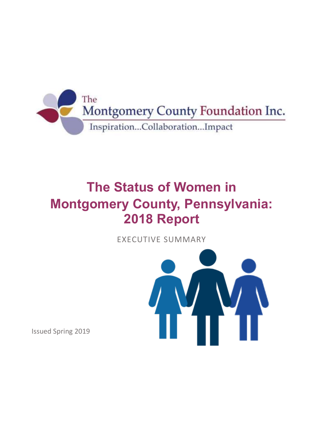

## **The Status of Women in Montgomery County, Pennsylvania: 2018 Report**

EXECUTIVE SUMMARY



Issued Spring 2019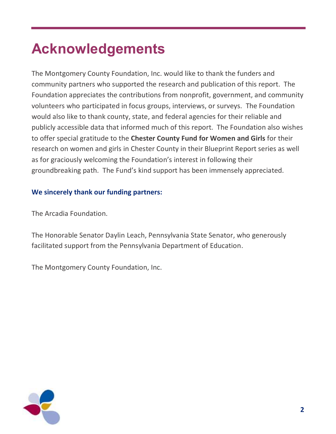## **Acknowledgements**

The Montgomery County Foundation, Inc. would like to thank the funders and community partners who supported the research and publication of this report. The Foundation appreciates the contributions from nonprofit, government, and community volunteers who participated in focus groups, interviews, or surveys. The Foundation would also like to thank county, state, and federal agencies for their reliable and publicly accessible data that informed much of this report. The Foundation also wishes to offer special gratitude to the **Chester County Fund for Women and Girls** for their research on women and girls in Chester County in their Blueprint Report series as well as for graciously welcoming the Foundation's interest in following their groundbreaking path. The Fund's kind support has been immensely appreciated.

#### **We sincerely thank our funding partners:**

The Arcadia Foundation.

The Honorable Senator Daylin Leach, Pennsylvania State Senator, who generously facilitated support from the Pennsylvania Department of Education.

The Montgomery County Foundation, Inc.

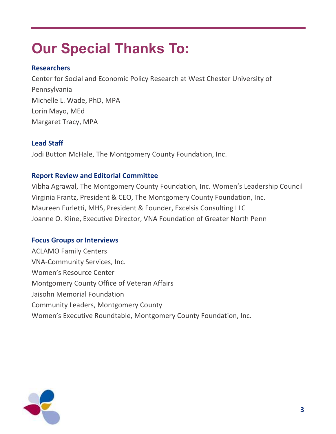# **Our Special Thanks To:**

#### **Researchers**

Center for Social and Economic Policy Research at West Chester University of Pennsylvania Michelle L. Wade, PhD, MPA Lorin Mayo, MEd Margaret Tracy, MPA

#### **Lead Staff**

Jodi Button McHale, The Montgomery County Foundation, Inc.

#### **Report Review and Editorial Committee**

Vibha Agrawal, The Montgomery County Foundation, Inc. Women's Leadership Council Virginia Frantz, President & CEO, The Montgomery County Foundation, Inc. Maureen Furletti, MHS, President & Founder, Excelsis Consulting LLC Joanne O. Kline, Executive Director, VNA Foundation of Greater North Penn

#### **Focus Groups or Interviews**

ACLAMO Family Centers VNA-Community Services, Inc. Women's Resource Center Montgomery County Office of Veteran Affairs Jaisohn Memorial Foundation Community Leaders, Montgomery County Women's Executive Roundtable, Montgomery County Foundation, Inc.

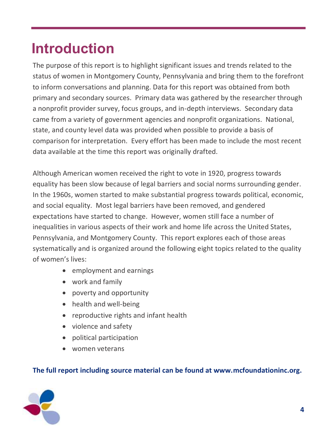## **Introduction**

The purpose of this report is to highlight significant issues and trends related to the status of women in Montgomery County, Pennsylvania and bring them to the forefront to inform conversations and planning. Data for this report was obtained from both primary and secondary sources. Primary data was gathered by the researcher through a nonprofit provider survey, focus groups, and in-depth interviews. Secondary data came from a variety of government agencies and nonprofit organizations. National, state, and county level data was provided when possible to provide a basis of comparison for interpretation. Every effort has been made to include the most recent data available at the time this report was originally drafted.

Although American women received the right to vote in 1920, progress towards equality has been slow because of legal barriers and social norms surrounding gender. In the 1960s, women started to make substantial progress towards political, economic, and social equality. Most legal barriers have been removed, and gendered expectations have started to change. However, women still face a number of inequalities in various aspects of their work and home life across the United States, Pennsylvania, and Montgomery County. This report explores each of those areas systematically and is organized around the following eight topics related to the quality of women's lives:

- employment and earnings
- work and family
- poverty and opportunity
- health and well-being
- reproductive rights and infant health
- violence and safety
- political participation
- women veterans

#### **The full report including source material can be found at www.mcfoundationinc.org.**

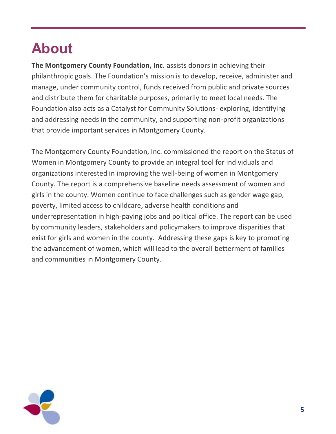# **About**

**The Montgomery County Foundation, Inc**. assists donors in achieving their philanthropic goals. The Foundation's mission is to develop, receive, administer and manage, under community control, funds received from public and private sources and distribute them for charitable purposes, primarily to meet local needs. The Foundation also acts as a Catalyst for Community Solutions- exploring, identifying and addressing needs in the community, and supporting non-profit organizations that provide important services in Montgomery County.

The Montgomery County Foundation, Inc. commissioned the report on the Status of Women in Montgomery County to provide an integral tool for individuals and organizations interested in improving the well-being of women in Montgomery County. The report is a comprehensive baseline needs assessment of women and girls in the county. Women continue to face challenges such as gender wage gap, poverty, limited access to childcare, adverse health conditions and underrepresentation in high-paying jobs and political office. The report can be used by community leaders, stakeholders and policymakers to improve disparities that exist for girls and women in the county. Addressing these gaps is key to promoting the advancement of women, which will lead to the overall betterment of families and communities in Montgomery County.

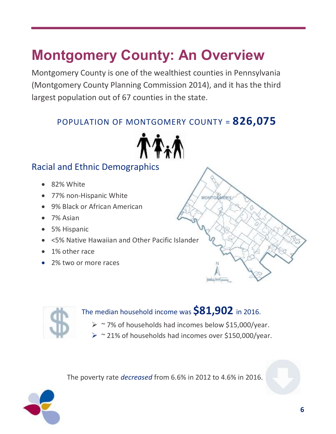## **Montgomery County: An Overview**

Montgomery County is one of the wealthiest counties in Pennsylvania (Montgomery County Planning Commission 2014), and it has the third largest population out of 67 counties in the state.

## POPULATION OF MONTGOMERY COUNTY = **826,075**



## Racial and Ethnic Demographics

- 82% White
- 77% non-Hispanic White
- 9% Black or African American
- 7% Asian
- 5% Hispanic
- <5% Native Hawaiian and Other Pacific Islander
- 1% other race
- 2% two or more races



## The median household income was **\$81,902** in 2016.

➢ ~ 7% of households had incomes below \$15,000/year.

**MONTGOMERY** 

➢ ~ 21% of households had incomes over \$150,000/year.

The poverty rate *decreased* from 6.6% in 2012 to 4.6% in 2016.

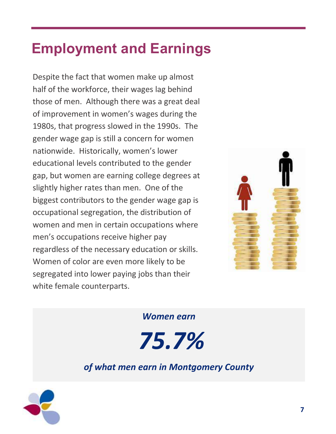## **Employment and Earnings**

Despite the fact that women make up almost half of the workforce, their wages lag behind those of men. Although there was a great deal of improvement in women's wages during the 1980s, that progress slowed in the 1990s. The gender wage gap is still a concern for women nationwide. Historically, women's lower educational levels contributed to the gender gap, but women are earning college degrees at slightly higher rates than men. One of the biggest contributors to the gender wage gap is occupational segregation, the distribution of women and men in certain occupations where men's occupations receive higher pay regardless of the necessary education or skills. Women of color are even more likely to be segregated into lower paying jobs than their white female counterparts.



*Women earn*

*75.7%* 

## *of what men earn in Montgomery County*

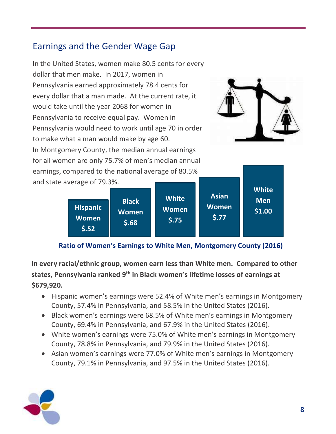## Earnings and the Gender Wage Gap



| <b>Black</b><br><b>Hispanic</b><br><b>Women</b><br><b>Women</b><br>5.68<br>\$.52 | <b>White</b><br><b>Women</b><br>5.75 | <b>Asian</b><br><b>Women</b><br>5.77 | <b>White</b><br><b>Men</b><br>\$1.00 |
|----------------------------------------------------------------------------------|--------------------------------------|--------------------------------------|--------------------------------------|
|----------------------------------------------------------------------------------|--------------------------------------|--------------------------------------|--------------------------------------|

#### **Ratio of Women's Earnings to White Men, Montgomery County (2016)**

**In every racial/ethnic group, women earn less than White men. Compared to other states, Pennsylvania ranked 9th in Black women's lifetime losses of earnings at \$679,920.** 

- Hispanic women's earnings were 52.4% of White men's earnings in Montgomery County, 57.4% in Pennsylvania, and 58.5% in the United States (2016).
- Black women's earnings were 68.5% of White men's earnings in Montgomery County, 69.4% in Pennsylvania, and 67.9% in the United States (2016).
- White women's earnings were 75.0% of White men's earnings in Montgomery County, 78.8% in Pennsylvania, and 79.9% in the United States (2016).
- Asian women's earnings were 77.0% of White men's earnings in Montgomery County, 79.1% in Pennsylvania, and 97.5% in the United States (2016).

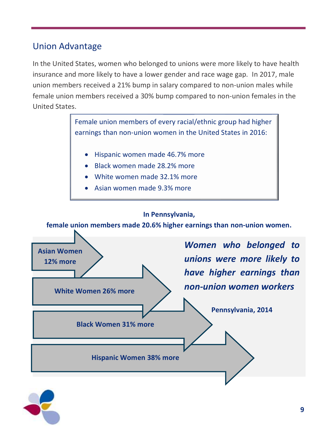## Union Advantage

In the United States, women who belonged to unions were more likely to have health insurance and more likely to have a lower gender and race wage gap. In 2017, male union members received a 21% bump in salary compared to non-union males while female union members received a 30% bump compared to non-union females in the United States.

**In Pennsylvania,**  Female union members of every racial/ethnic group had higher earnings than non-union women in the United States in 2016: • Hispanic women made 46.7% more • Black women made 28.2% more • White women made 32.1% more • Asian women made 9.3% more

**female union members made 20.6% higher earnings than non-union women.**



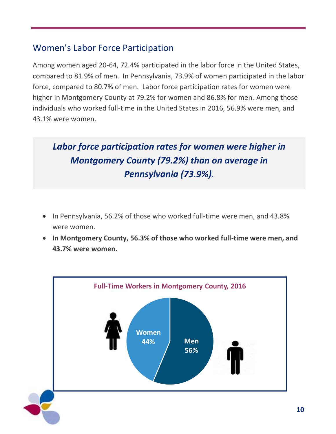## Women's Labor Force Participation

Among women aged 20-64, 72.4% participated in the labor force in the United States, compared to 81.9% of men. In Pennsylvania, 73.9% of women participated in the labor force, compared to 80.7% of men. Labor force participation rates for women were higher in Montgomery County at 79.2% for women and 86.8% for men. Among those individuals who worked full-time in the United States in 2016, 56.9% were men, and 43.1% were women.

## *Labor force participation rates for women were higher in Montgomery County (79.2%) than on average in Pennsylvania (73.9%).*

- In Pennsylvania, 56.2% of those who worked full-time were men, and 43.8% were women.
- **In Montgomery County, 56.3% of those who worked full-time were men, and 43.7% were women.**

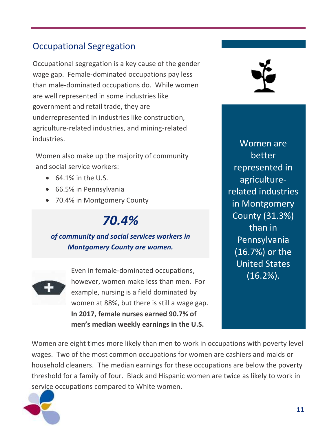## Occupational Segregation

Occupational segregation is a key cause of the gender wage gap. Female-dominated occupations pay less than male-dominated occupations do. While women are well represented in some industries like government and retail trade, they are underrepresented in industries like construction, agriculture-related industries, and mining-related industries.

Women also make up the majority of community and social service workers:

- $\bullet$  64.1% in the U.S.
- 66.5% in Pennsylvania
- 70.4% in Montgomery County

## *70.4%*

#### *of community and social services workers in Montgomery County are women.*



Even in female-dominated occupations, however, women make less than men. For example, nursing is a field dominated by women at 88%, but there is still a wage gap. **In 2017, female nurses earned 90.7% of men's median weekly earnings in the U.S.**



Women are better represented in agriculturerelated industries in Montgomery County (31.3%) than in Pennsylvania (16.7%) or the United States (16.2%).

Women are eight times more likely than men to work in occupations with poverty level wages. Two of the most common occupations for women are cashiers and maids or household cleaners. The median earnings for these occupations are below the poverty threshold for a family of four. Black and Hispanic women are twice as likely to work in service occupations compared to White women.

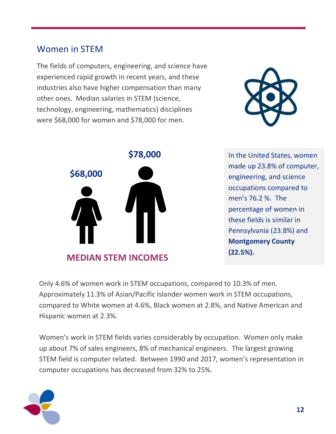### Women in STEM

The fields of computers, engineering, and science have experienced rapid growth in recent years, and these industries also have higher compensation than many other ones. Median salaries in STEM (science, technology, engineering, mathematics) disciplines were \$68,000 for women and \$78,000 for men.





**\$78,000** In the United States, women made up 23.8% of computer, engineering, and science occupations compared to men's 76.2 %. The percentage of women in these fields is similar in Pennsylvania (23.8%) and **Montgomery County (22.5%).**

Only 4.6% of women work in STEM occupations, compared to 10.3% of men. Approximately 11.3% of Asian/Pacific Islander women work in STEM occupations, compared to White women at 4.6%, Black women at 2.8%, and Native American and Hispanic women at 2.3%.

Women's work in STEM fields varies considerably by occupation. Women only make up about 7% of sales engineers, 8% of mechanical engineers. The largest growing STEM field is computer related. Between 1990 and 2017, women's representation in computer occupations has decreased from 32% to 25%.

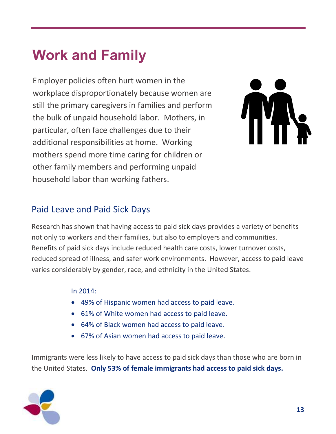## **Work and Family**

Employer policies often hurt women in the workplace disproportionately because women are still the primary caregivers in families and perform the bulk of unpaid household labor. Mothers, in particular, often face challenges due to their additional responsibilities at home. Working mothers spend more time caring for children or other family members and performing unpaid household labor than working fathers.



### Paid Leave and Paid Sick Days

Research has shown that having access to paid sick days provides a variety of benefits not only to workers and their families, but also to employers and communities. Benefits of paid sick days include reduced health care costs, lower turnover costs, reduced spread of illness, and safer work environments. However, access to paid leave varies considerably by gender, race, and ethnicity in the United States.

In 2014:

- 49% of Hispanic women had access to paid leave.
- 61% of White women had access to paid leave.
- 64% of Black women had access to paid leave.
- 67% of Asian women had access to paid leave.

Immigrants were less likely to have access to paid sick days than those who are born in the United States. **Only 53% of female immigrants had access to paid sick days.**

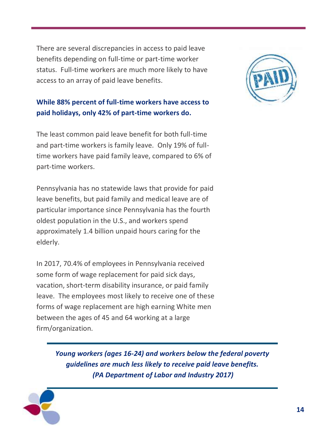There are several discrepancies in access to paid leave benefits depending on full-time or part-time worker status. Full-time workers are much more likely to have access to an array of paid leave benefits.

#### **While 88% percent of full-time workers have access to paid holidays, only 42% of part-time workers do.**

The least common paid leave benefit for both full-time and part-time workers is family leave. Only 19% of fulltime workers have paid family leave, compared to 6% of part-time workers.

Pennsylvania has no statewide laws that provide for paid leave benefits, but paid family and medical leave are of particular importance since Pennsylvania has the fourth oldest population in the U.S., and workers spend approximately 1.4 billion unpaid hours caring for the elderly.

In 2017, 70.4% of employees in Pennsylvania received some form of wage replacement for paid sick days, vacation, short-term disability insurance, or paid family leave. The employees most likely to receive one of these forms of wage replacement are high earning White men between the ages of 45 and 64 working at a large firm/organization.

> *Young workers (ages 16-24) and workers below the federal poverty guidelines are much less likely to receive paid leave benefits. (PA Department of Labor and Industry 2017)*



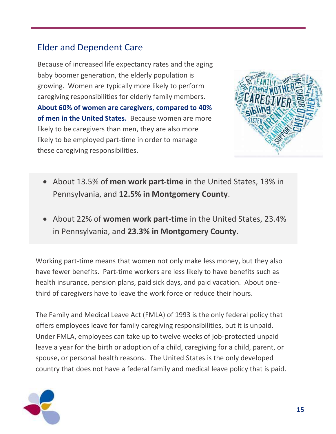## Elder and Dependent Care

Because of increased life expectancy rates and the aging baby boomer generation, the elderly population is growing. Women are typically more likely to perform caregiving responsibilities for elderly family members. **About 60% of women are caregivers, compared to 40% of men in the United States.** Because women are more likely to be caregivers than men, they are also more likely to be employed part-time in order to manage these caregiving responsibilities.



- About 13.5% of **men work part-time** in the United States, 13% in Pennsylvania, and **12.5% in Montgomery County**.
- About 22% of **women work part-tim**e in the United States, 23.4% in Pennsylvania, and **23.3% in Montgomery County**.

Working part-time means that women not only make less money, but they also have fewer benefits. Part-time workers are less likely to have benefits such as health insurance, pension plans, paid sick days, and paid vacation. About onethird of caregivers have to leave the work force or reduce their hours.

The Family and Medical Leave Act (FMLA) of 1993 is the only federal policy that offers employees leave for family caregiving responsibilities, but it is unpaid. Under FMLA, employees can take up to twelve weeks of job-protected unpaid leave a year for the birth or adoption of a child, caregiving for a child, parent, or spouse, or personal health reasons. The United States is the only developed country that does not have a federal family and medical leave policy that is paid.

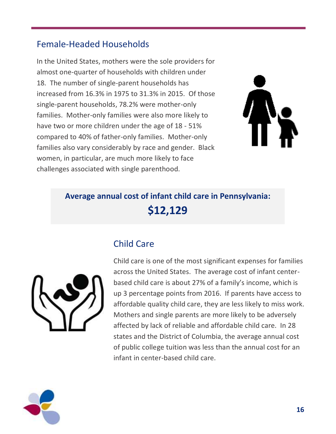## Female-Headed Households

In the United States, mothers were the sole providers for almost one-quarter of households with children under 18. The number of single-parent households has increased from 16.3% in 1975 to 31.3% in 2015. Of those single-parent households, 78.2% were mother-only families. Mother-only families were also more likely to have two or more children under the age of 18 - 51% compared to 40% of father-only families. Mother-only families also vary considerably by race and gender. Black women, in particular, are much more likely to face challenges associated with single parenthood.



## **Average annual cost of infant child care in Pennsylvania: \$12,129**

## Child Care



Child care is one of the most significant expenses for families across the United States. The average cost of infant centerbased child care is about 27% of a family's income, which is up 3 percentage points from 2016. If parents have access to affordable quality child care, they are less likely to miss work. Mothers and single parents are more likely to be adversely affected by lack of reliable and affordable child care. In 28 states and the District of Columbia, the average annual cost of public college tuition was less than the annual cost for an infant in center-based child care.

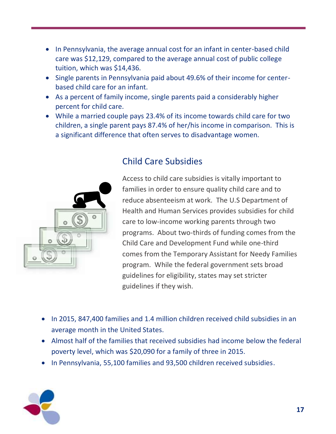- In Pennsylvania, the average annual cost for an infant in center-based child care was \$12,129, compared to the average annual cost of public college tuition, which was \$14,436.
- Single parents in Pennsylvania paid about 49.6% of their income for centerbased child care for an infant.
- As a percent of family income, single parents paid a considerably higher percent for child care.
- While a married couple pays 23.4% of its income towards child care for two children, a single parent pays 87.4% of her/his income in comparison. This is a significant difference that often serves to disadvantage women.



## Child Care Subsidies

Access to child care subsidies is vitally important to families in order to ensure quality child care and to reduce absenteeism at work. The U.S Department of Health and Human Services provides subsidies for child care to low-income working parents through two programs. About two-thirds of funding comes from the Child Care and Development Fund while one-third comes from the Temporary Assistant for Needy Families program. While the federal government sets broad guidelines for eligibility, states may set stricter guidelines if they wish.

- In 2015, 847,400 families and 1.4 million children received child subsidies in an average month in the United States.
- Almost half of the families that received subsidies had income below the federal poverty level, which was \$20,090 for a family of three in 2015.
- In Pennsylvania, 55,100 families and 93,500 children received subsidies.

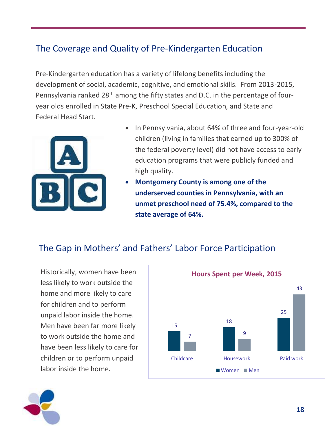## The Coverage and Quality of Pre-Kindergarten Education

Pre-Kindergarten education has a variety of lifelong benefits including the development of social, academic, cognitive, and emotional skills. From 2013-2015, Pennsylvania ranked 28<sup>th</sup> among the fifty states and D.C. in the percentage of fouryear olds enrolled in State Pre-K, Preschool Special Education, and State and Federal Head Start.



- In Pennsylvania, about 64% of three and four-year-old children (living in families that earned up to 300% of the federal poverty level) did not have access to early education programs that were publicly funded and high quality.
- **Montgomery County is among one of the underserved counties in Pennsylvania, with an unmet preschool need of 75.4%, compared to the state average of 64%.**

#### The Gap in Mothers' and Fathers' Labor Force Participation

Historically, women have been less likely to work outside the home and more likely to care for children and to perform unpaid labor inside the home. Men have been far more likely to work outside the home and have been less likely to care for children or to perform unpaid labor inside the home.



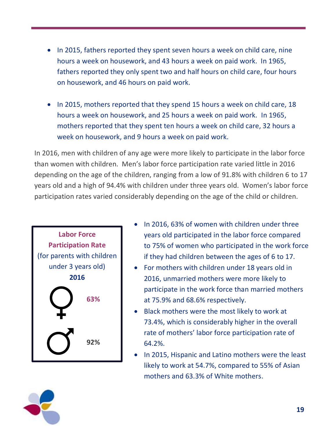- In 2015, fathers reported they spent seven hours a week on child care, nine hours a week on housework, and 43 hours a week on paid work. In 1965, fathers reported they only spent two and half hours on child care, four hours on housework, and 46 hours on paid work.
- In 2015, mothers reported that they spend 15 hours a week on child care, 18 hours a week on housework, and 25 hours a week on paid work. In 1965, mothers reported that they spent ten hours a week on child care, 32 hours a week on housework, and 9 hours a week on paid work.

In 2016, men with children of any age were more likely to participate in the labor force than women with children. Men's labor force participation rate varied little in 2016 depending on the age of the children, ranging from a low of 91.8% with children 6 to 17 years old and a high of 94.4% with children under three years old. Women's labor force participation rates varied considerably depending on the age of the child or children.



- In 2016, 63% of women with children under three years old participated in the labor force compared to 75% of women who participated in the work force if they had children between the ages of 6 to 17.
- For mothers with children under 18 years old in 2016, unmarried mothers were more likely to participate in the work force than married mothers at 75.9% and 68.6% respectively.
- Black mothers were the most likely to work at 73.4%, which is considerably higher in the overall rate of mothers' labor force participation rate of 64.2%.
- In 2015, Hispanic and Latino mothers were the least likely to work at 54.7%, compared to 55% of Asian mothers and 63.3% of White mothers.

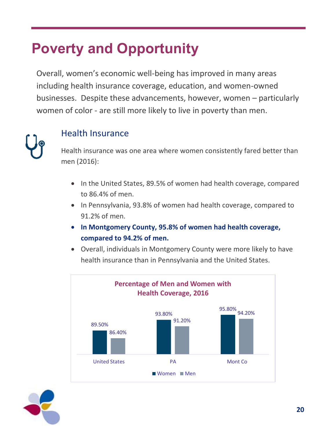## **Poverty and Opportunity**

Overall, women's economic well-being has improved in many areas including health insurance coverage, education, and women-owned businesses. Despite these advancements, however, women – particularly women of color - are still more likely to live in poverty than men.



#### Health Insurance

Health insurance was one area where women consistently fared better than men (2016):

- In the United States, 89.5% of women had health coverage, compared to 86.4% of men.
- In Pennsylvania, 93.8% of women had health coverage, compared to 91.2% of men.
- **In Montgomery County, 95.8% of women had health coverage, compared to 94.2% of men.**
- Overall, individuals in Montgomery County were more likely to have health insurance than in Pennsylvania and the United States.



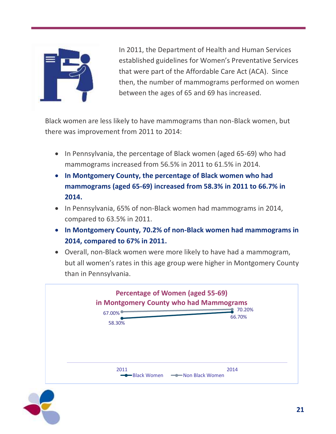

In 2011, the Department of Health and Human Services established guidelines for Women's Preventative Services that were part of the Affordable Care Act (ACA). Since then, the number of mammograms performed on women between the ages of 65 and 69 has increased.

Black women are less likely to have mammograms than non-Black women, but there was improvement from 2011 to 2014:

- In Pennsylvania, the percentage of Black women (aged 65-69) who had mammograms increased from 56.5% in 2011 to 61.5% in 2014.
- **In Montgomery County, the percentage of Black women who had mammograms (aged 65-69) increased from 58.3% in 2011 to 66.7% in 2014.**
- In Pennsylvania, 65% of non-Black women had mammograms in 2014, compared to 63.5% in 2011.
- **In Montgomery County, 70.2% of non-Black women had mammograms in 2014, compared to 67% in 2011.**
- Overall, non-Black women were more likely to have had a mammogram, but all women's rates in this age group were higher in Montgomery County than in Pennsylvania.



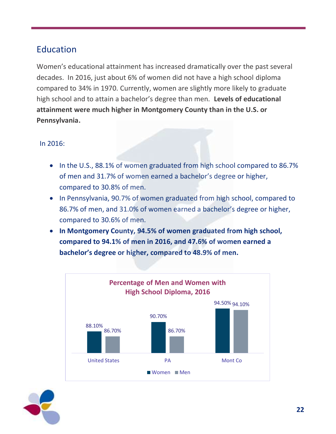## Education

Women's educational attainment has increased dramatically over the past several decades. In 2016, just about 6% of women did not have a high school diploma compared to 34% in 1970. Currently, women are slightly more likely to graduate high school and to attain a bachelor's degree than men. **Levels of educational attainment were much higher in Montgomery County than in the U.S. or Pennsylvania.**

#### In 2016:

- In the U.S., 88.1% of women graduated from high school compared to 86.7% of men and 31.7% of women earned a bachelor's degree or higher, compared to 30.8% of men.
- In Pennsylvania, 90.7% of women graduated from high school, compared to 86.7% of men, and 31.0% of women earned a bachelor's degree or higher, compared to 30.6% of men.
- **In Montgomery County, 94.5% of women graduated from high school, compared to 94.1% of men in 2016, and 47.6% of women earned a bachelor's degree or higher, compared to 48.9% of men.**



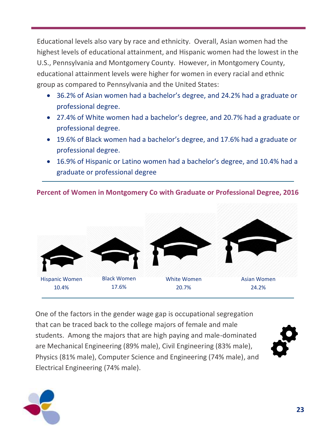Educational levels also vary by race and ethnicity. Overall, Asian women had the highest levels of educational attainment, and Hispanic women had the lowest in the U.S., Pennsylvania and Montgomery County. However, in Montgomery County, educational attainment levels were higher for women in every racial and ethnic group as compared to Pennsylvania and the United States:

- 36.2% of Asian women had a bachelor's degree, and 24.2% had a graduate or professional degree.
- 27.4% of White women had a bachelor's degree, and 20.7% had a graduate or professional degree.
- 19.6% of Black women had a bachelor's degree, and 17.6% had a graduate or professional degree.
- 16.9% of Hispanic or Latino women had a bachelor's degree, and 10.4% had a graduate or professional degree

**Percent of Women in Montgomery Co with Graduate or Professional Degree, 2016**



One of the factors in the gender wage gap is occupational segregation that can be traced back to the college majors of female and male students. Among the majors that are high paying and male-dominated are Mechanical Engineering (89% male), Civil Engineering (83% male), Physics (81% male), Computer Science and Engineering (74% male), and Electrical Engineering (74% male).

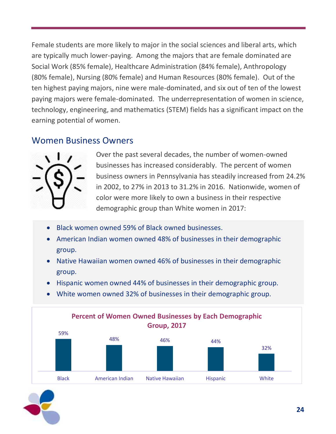Female students are more likely to major in the social sciences and liberal arts, which are typically much lower-paying. Among the majors that are female dominated are Social Work (85% female), Healthcare Administration (84% female), Anthropology (80% female), Nursing (80% female) and Human Resources (80% female). Out of the ten highest paying majors, nine were male-dominated, and six out of ten of the lowest paying majors were female-dominated. The underrepresentation of women in science, technology, engineering, and mathematics (STEM) fields has a significant impact on the earning potential of women.

#### Women Business Owners



Over the past several decades, the number of women-owned businesses has increased considerably. The percent of women business owners in Pennsylvania has steadily increased from 24.2% in 2002, to 27% in 2013 to 31.2% in 2016. Nationwide, women of color were more likely to own a business in their respective demographic group than White women in 2017:

- Black women owned 59% of Black owned businesses.
- American Indian women owned 48% of businesses in their demographic group.
- Native Hawaiian women owned 46% of businesses in their demographic group.
- Hispanic women owned 44% of businesses in their demographic group.
- White women owned 32% of businesses in their demographic group.

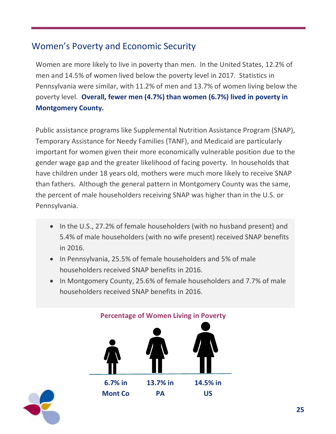## Women's Poverty and Economic Security

Women are more likely to live in poverty than men. In the United States, 12.2% of men and 14.5% of women lived below the poverty level in 2017. Statistics in Pennsylvania were similar, with 11.2% of men and 13.7% of women living below the poverty level. **Overall, fewer men (4.7%) than women (6.7%) lived in poverty in Montgomery County.**

Public assistance programs like Supplemental Nutrition Assistance Program (SNAP), Temporary Assistance for Needy Families (TANF), and Medicaid are particularly important for women given their more economically vulnerable position due to the gender wage gap and the greater likelihood of facing poverty. In households that have children under 18 years old, mothers were much more likely to receive SNAP than fathers. Although the general pattern in Montgomery County was the same, the percent of male householders receiving SNAP was higher than in the U.S. or Pennsylvania.

- In the U.S., 27.2% of female householders (with no husband present) and 5.4% of male householders (with no wife present) received SNAP benefits in 2016.
- In Pennsylvania, 25.5% of female householders and 5% of male householders received SNAP benefits in 2016.
- In Montgomery County, 25.6% of female householders and 7.7% of male householders received SNAP benefits in 2016.



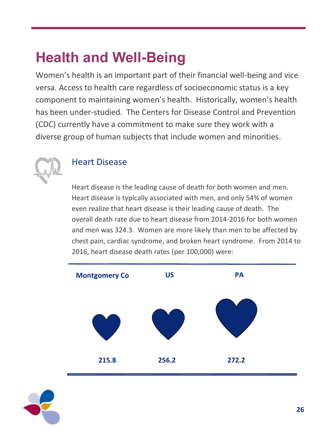## **Health and Well-Being**

Women's health is an important part of their financial well-being and vice versa. Access to health care regardless of socioeconomic status is a key component to maintaining women's health. Historically, women's health has been under-studied. The Centers for Disease Control and Prevention (CDC) currently have a commitment to make sure they work with a diverse group of human subjects that include women and minorities.



### Heart Disease

Heart disease is the leading cause of death for both women and men. Heart disease is typically associated with men, and only 54% of women even realize that heart disease is their leading cause of death. The overall death rate due to heart disease from 2014-2016 for both women and men was 324.3. Women are more likely than men to be affected by chest pain, cardiac syndrome, and broken heart syndrome. From 2014 to 2016, heart disease death rates (per 100,000) were:



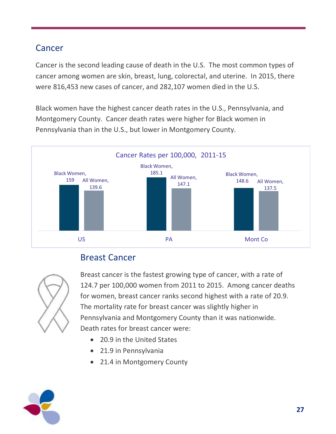## Cancer

**215.8**  Concertis the second loading cause of death in the U.S. The mest common tuner concer among woman are were 816,453 new cases of cancer, and 282,107 women died in the U.S. ethnic groups: 333 in the U.S., 349.4 in Pennsylvania, and 272.8 in Cancer is the second leading cause of death in the U.S. The most common types of cancer among women are skin, breast, lung, colorectal, and uterine. In 2015, there

Black women have the highest cancer death rates in the U.S., Pennsylvania, and Montgomery County. Cancer death rates were higher for Black women in Pennsylvania than in the U.S., but lower in Montgomery County.



## Breast Cancer



Breast cancer is the fastest growing type of cancer, with a rate of 124.7 per 100,000 women from 2011 to 2015. Among cancer deaths for women, breast cancer ranks second highest with a rate of 20.9. The mortality rate for breast cancer was slightly higher in Pennsylvania and Montgomery County than it was nationwide. Death rates for breast cancer were:

- 20.9 in the United States
- 21.9 in Pennsylvania
- 21.4 in Montgomery County

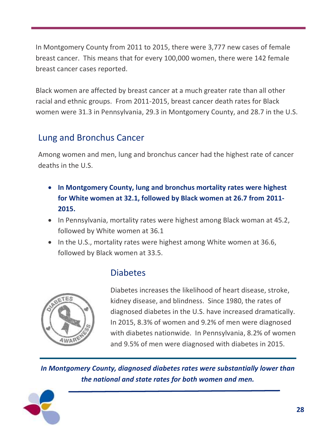In Montgomery County from 2011 to 2015, there were 3,777 new cases of female breast cancer. This means that for every 100,000 women, there were 142 female breast cancer cases reported.

Black women are affected by breast cancer at a much greater rate than all other racial and ethnic groups. From 2011-2015, breast cancer death rates for Black women were 31.3 in Pennsylvania, 29.3 in Montgomery County, and 28.7 in the U.S.

## Lung and Bronchus Cancer

Among women and men, lung and bronchus cancer had the highest rate of cancer deaths in the U.S.

- **In Montgomery County, lung and bronchus mortality rates were highest for White women at 32.1, followed by Black women at 26.7 from 2011- 2015.**
- In Pennsylvania, mortality rates were highest among Black woman at 45.2, followed by White women at 36.1
- In the U.S., mortality rates were highest among White women at 36.6, followed by Black women at 33.5.



### Diabetes

Diabetes increases the likelihood of heart disease, stroke, kidney disease, and blindness. Since 1980, the rates of diagnosed diabetes in the U.S. have increased dramatically. In 2015, 8.3% of women and 9.2% of men were diagnosed with diabetes nationwide. In Pennsylvania, 8.2% of women and 9.5% of men were diagnosed with diabetes in 2015.

*In Montgomery County, diagnosed diabetes rates were substantially lower than the national and state rates for both women and men.*

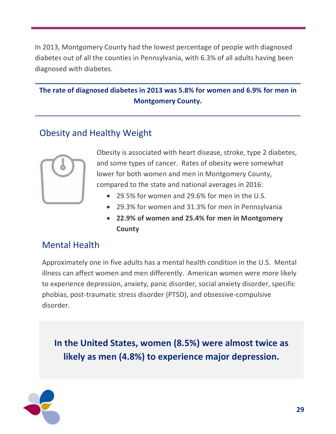In 2013, Montgomery County had the lowest percentage of people with diagnosed diabetes out of all the counties in Pennsylvania, with 6.3% of all adults having been diagnosed with diabetes.

#### **The rate of diagnosed diabetes in 2013 was 5.8% for women and 6.9% for men in Montgomery County.**

## Obesity and Healthy Weight



Obesity is associated with heart disease, stroke, type 2 diabetes, and some types of cancer. Rates of obesity were somewhat lower for both women and men in Montgomery County, compared to the state and national averages in 2016:

- 29.5% for women and 29.6% for men in the U.S.
- 29.3% for women and 31.3% for men in Pennsylvania
- **22.9% of women and 25.4% for men in Montgomery County**

#### Mental Health

Approximately one in five adults has a mental health condition in the U.S. Mental illness can affect women and men differently. American women were more likely to experience depression, anxiety, panic disorder, social anxiety disorder, specific phobias, post-traumatic stress disorder (PTSD), and obsessive-compulsive disorder.

**In the United States, women (8.5%) were almost twice as likely as men (4.8%) to experience major depression.**

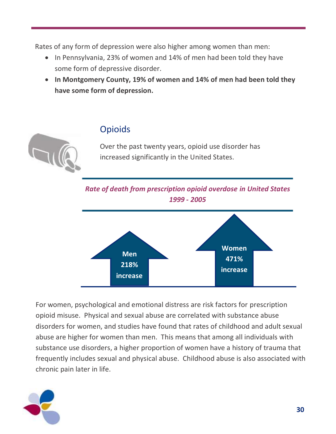Rates of any form of depression were also higher among women than men:

- In Pennsylvania, 23% of women and 14% of men had been told they have some form of depressive disorder.
- **In Montgomery County, 19% of women and 14% of men had been told they have some form of depression.**

### Opioids

Over the past twenty years, opioid use disorder has increased significantly in the United States.

*Rate of death from prescription opioid overdose in United States 1999 - 2005*



For women, psychological and emotional distress are risk factors for prescription opioid misuse. Physical and sexual abuse are correlated with substance abuse disorders for women, and studies have found that rates of childhood and adult sexual abuse are higher for women than men. This means that among all individuals with substance use disorders, a higher proportion of women have a history of trauma that frequently includes sexual and physical abuse. Childhood abuse is also associated with chronic pain later in life.

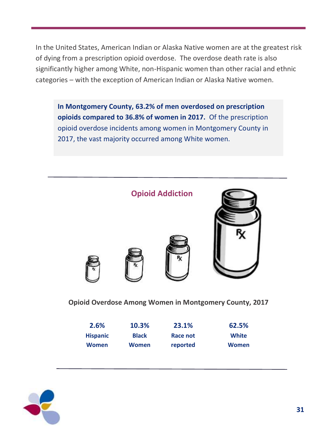In the United States, American Indian or Alaska Native women are at the greatest risk of dying from a prescription opioid overdose. The overdose death rate is also significantly higher among White, non-Hispanic women than other racial and ethnic categories – with the exception of American Indian or Alaska Native women.

**In Montgomery County, 63.2% of men overdosed on prescription opioids compared to 36.8% of women in 2017.** Of the prescription opioid overdose incidents among women in Montgomery County in 2017, the vast majority occurred among White women.



| 2.6%            | 10.3%        | 23.1%    | 62.5% |
|-----------------|--------------|----------|-------|
| <b>Hispanic</b> | <b>Black</b> | Race not | White |
| <b>Women</b>    | Women        | reported | Women |

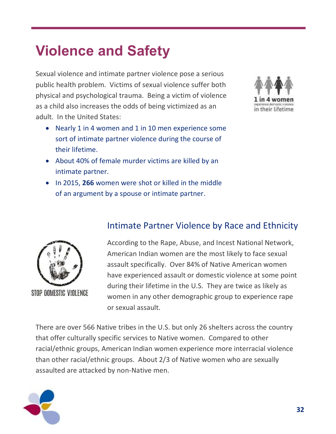## **Violence and Safety**

Sexual violence and intimate partner violence pose a serious public health problem. Victims of sexual violence suffer both physical and psychological trauma. Being a victim of violence as a child also increases the odds of being victimized as an adult. In the United States:

- Nearly 1 in 4 women and 1 in 10 men experience some sort of intimate partner violence during the course of their lifetime.
- About 40% of female murder victims are killed by an intimate partner.
- In 2015, **266** women were shot or killed in the middle of an argument by a spouse or intimate partner.





STOP DOMESTIC VIOLENCE

#### Intimate Partner Violence by Race and Ethnicity

According to the Rape, Abuse, and Incest National Network, American Indian women are the most likely to face sexual assault specifically. Over 84% of Native American women have experienced assault or domestic violence at some point during their lifetime in the U.S. They are twice as likely as women in any other demographic group to experience rape or sexual assault.

There are over 566 Native tribes in the U.S. but only 26 shelters across the country that offer culturally specific services to Native women. Compared to other racial/ethnic groups, American Indian women experience more interracial violence than other racial/ethnic groups. About 2/3 of Native women who are sexually assaulted are attacked by non-Native men.

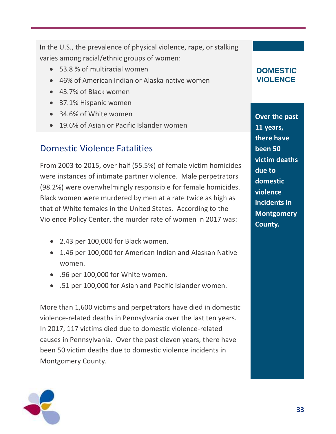In the U.S., the prevalence of physical violence, rape, or stalking varies among racial/ethnic groups of women:

- 53.8 % of multiracial women
- 46% of American Indian or Alaska native women
- 43.7% of Black women
- 37.1% Hispanic women
- 34.6% of White women
- 19.6% of Asian or Pacific Islander women

### Domestic Violence Fatalities

From 2003 to 2015, over half (55.5%) of female victim homicides were instances of intimate partner violence. Male perpetrators (98.2%) were overwhelmingly responsible for female homicides. Black women were murdered by men at a rate twice as high as that of White females in the United States. According to the Violence Policy Center, the murder rate of women in 2017 was:

- 2.43 per 100,000 for Black women.
- 1.46 per 100,000 for American Indian and Alaskan Native women.
- .96 per 100,000 for White women.
- .51 per 100,000 for Asian and Pacific Islander women.

More than 1,600 victims and perpetrators have died in domestic violence-related deaths in Pennsylvania over the last ten years. In 2017, 117 victims died due to domestic violence-related causes in Pennsylvania. Over the past eleven years, there have been 50 victim deaths due to domestic violence incidents in Montgomery County.



**Over the past 11 years, there have been 50 victim deaths due to domestic violence incidents in Montgomery County.**

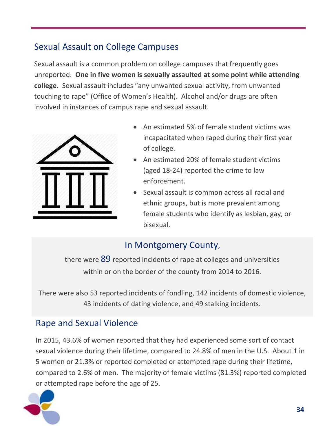## Sexual Assault on College Campuses

Sexual assault is a common problem on college campuses that frequently goes unreported. **One in five women is sexually assaulted at some point while attending college.** Sexual assault includes "any unwanted sexual activity, from unwanted touching to rape" (Office of Women's Health). Alcohol and/or drugs are often involved in instances of campus rape and sexual assault.



- An estimated 5% of female student victims was incapacitated when raped during their first year of college.
- An estimated 20% of female student victims (aged 18-24) reported the crime to law enforcement.
- Sexual assault is common across all racial and ethnic groups, but is more prevalent among female students who identify as lesbian, gay, or bisexual.

## In Montgomery County,

there were 89 reported incidents of rape at colleges and universities within or on the border of the county from 2014 to 2016.

There were also 53 reported incidents of fondling, 142 incidents of domestic violence, 43 incidents of dating violence, and 49 stalking incidents.

## Rape and Sexual Violence

In 2015, 43.6% of women reported that they had experienced some sort of contact sexual violence during their lifetime, compared to 24.8% of men in the U.S. About 1 in 5 women or 21.3% or reported completed or attempted rape during their lifetime, compared to 2.6% of men. The majority of female victims (81.3%) reported completed or attempted rape before the age of 25.

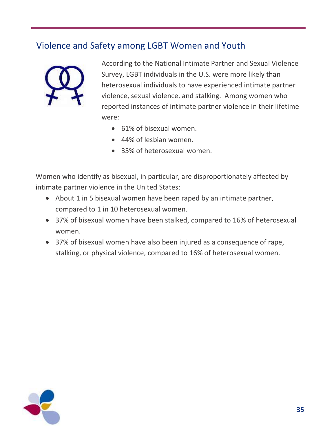## Violence and Safety among LGBT Women and Youth



According to the National Intimate Partner and Sexual Violence Survey, LGBT individuals in the U.S. were more likely than heterosexual individuals to have experienced intimate partner violence, sexual violence, and stalking. Among women who reported instances of intimate partner violence in their lifetime were:

- 61% of bisexual women.
- 44% of lesbian women.
- 35% of heterosexual women.

Women who identify as bisexual, in particular, are disproportionately affected by intimate partner violence in the United States:

- About 1 in 5 bisexual women have been raped by an intimate partner, compared to 1 in 10 heterosexual women.
- 37% of bisexual women have been stalked, compared to 16% of heterosexual women.
- 37% of bisexual women have also been injured as a consequence of rape, stalking, or physical violence, compared to 16% of heterosexual women.

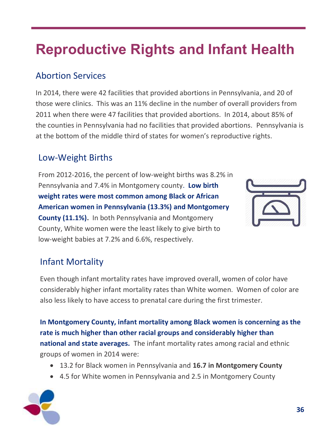# **Reproductive Rights and Infant Health**

## Abortion Services

In 2014, there were 42 facilities that provided abortions in Pennsylvania, and 20 of those were clinics. This was an 11% decline in the number of overall providers from 2011 when there were 47 facilities that provided abortions. In 2014, about 85% of the counties in Pennsylvania had no facilities that provided abortions. Pennsylvania is at the bottom of the middle third of states for women's reproductive rights.

## Low-Weight Births

From 2012-2016, the percent of low-weight births was 8.2% in Pennsylvania and 7.4% in Montgomery county. **Low birth weight rates were most common among Black or African American women in Pennsylvania (13.3%) and Montgomery County (11.1%).** In both Pennsylvania and Montgomery County, White women were the least likely to give birth to low-weight babies at 7.2% and 6.6%, respectively.



## Infant Mortality

Even though infant mortality rates have improved overall, women of color have considerably higher infant mortality rates than White women. Women of color are also less likely to have access to prenatal care during the first trimester.

**In Montgomery County, infant mortality among Black women is concerning as the rate is much higher than other racial groups and considerably higher than national and state averages.** The infant mortality rates among racial and ethnic groups of women in 2014 were:

- 13.2 for Black women in Pennsylvania and **16.7 in Montgomery County**
- 4.5 for White women in Pennsylvania and 2.5 in Montgomery County

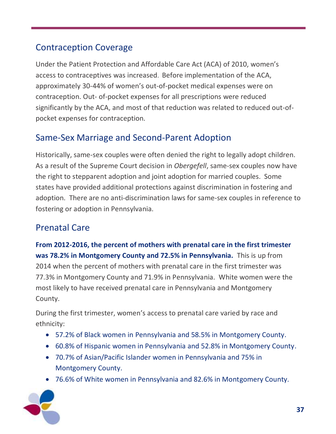## Contraception Coverage

Under the Patient Protection and Affordable Care Act (ACA) of 2010, women's access to contraceptives was increased. Before implementation of the ACA, approximately 30-44% of women's out-of-pocket medical expenses were on contraception. Out- of-pocket expenses for all prescriptions were reduced significantly by the ACA, and most of that reduction was related to reduced out-ofpocket expenses for contraception.

## Same-Sex Marriage and Second-Parent Adoption

Historically, same-sex couples were often denied the right to legally adopt children. As a result of the Supreme Court decision in *Obergefell*, same-sex couples now have the right to stepparent adoption and joint adoption for married couples. Some states have provided additional protections against discrimination in fostering and adoption. There are no anti-discrimination laws for same-sex couples in reference to fostering or adoption in Pennsylvania.

## Prenatal Care

**From 2012-2016, the percent of mothers with prenatal care in the first trimester was 78.2% in Montgomery County and 72.5% in Pennsylvania.** This is up from 2014 when the percent of mothers with prenatal care in the first trimester was 77.3% in Montgomery County and 71.9% in Pennsylvania. White women were the most likely to have received prenatal care in Pennsylvania and Montgomery County.

During the first trimester, women's access to prenatal care varied by race and ethnicity:

- 57.2% of Black women in Pennsylvania and 58.5% in Montgomery County.
- 60.8% of Hispanic women in Pennsylvania and 52.8% in Montgomery County.
- 70.7% of Asian/Pacific Islander women in Pennsylvania and 75% in Montgomery County.
- 76.6% of White women in Pennsylvania and 82.6% in Montgomery County.

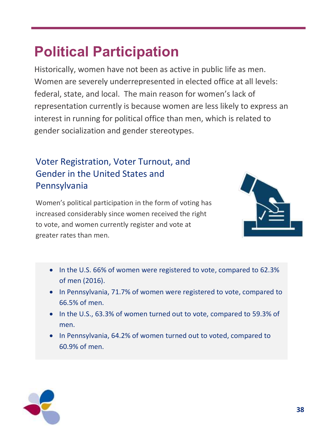## **Political Participation**

Historically, women have not been as active in public life as men. Women are severely underrepresented in elected office at all levels: federal, state, and local. The main reason for women's lack of representation currently is because women are less likely to express an interest in running for political office than men, which is related to gender socialization and gender stereotypes.

## Voter Registration, Voter Turnout, and Gender in the United States and Pennsylvania

Women's political participation in the form of voting has increased considerably since women received the right to vote, and women currently register and vote at greater rates than men.



- In the U.S. 66% of women were registered to vote, compared to 62.3% of men (2016).
- In Pennsylvania, 71.7% of women were registered to vote, compared to 66.5% of men.
- In the U.S., 63.3% of women turned out to vote, compared to 59.3% of men.
- In Pennsylvania, 64.2% of women turned out to voted, compared to 60.9% of men.

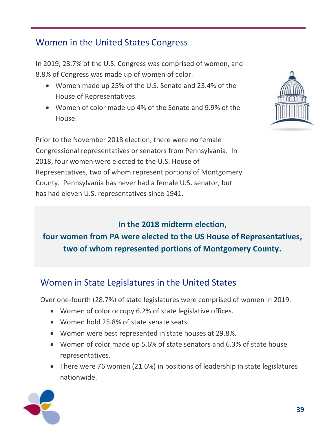## Women in the United States Congress

In 2019, 23.7% of the U.S. Congress was comprised of women, and 8.8% of Congress was made up of women of color.

- Women made up 25% of the U.S. Senate and 23.4% of the House of Representatives.
- Women of color made up 4% of the Senate and 9.9% of the House.

Prior to the November 2018 election, there were **no** female Congressional representatives or senators from Pennsylvania. In 2018, four women were elected to the U.S. House of Representatives, two of whom represent portions of Montgomery County. Pennsylvania has never had a female U.S. senator, but has had eleven U.S. representatives since 1941.



## **In the 2018 midterm election, four women from PA were elected to the US House of Representatives, two of whom represented portions of Montgomery County.**

## Women in State Legislatures in the United States

Over one-fourth (28.7%) of state legislatures were comprised of women in 2019.

- Women of color occupy 6.2% of state legislative offices.
- Women hold 25.8% of state senate seats.
- Women were best represented in state houses at 29.8%.
- Women of color made up 5.6% of state senators and 6.3% of state house representatives.
- There were 76 women (21.6%) in positions of leadership in state legislatures nationwide.

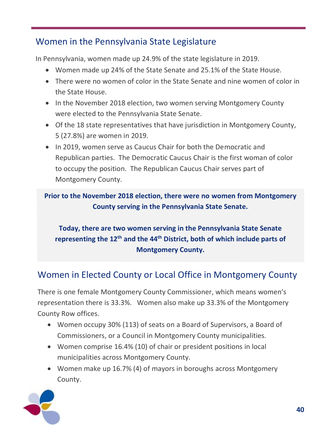## Women in the Pennsylvania State Legislature

In Pennsylvania, women made up 24.9% of the state legislature in 2019.

- Women made up 24% of the State Senate and 25.1% of the State House.
- There were no women of color in the State Senate and nine women of color in the State House.
- In the November 2018 election, two women serving Montgomery County were elected to the Pennsylvania State Senate.
- Of the 18 state representatives that have jurisdiction in Montgomery County, 5 (27.8%) are women in 2019.
- In 2019, women serve as Caucus Chair for both the Democratic and Republican parties. The Democratic Caucus Chair is the first woman of color to occupy the position. The Republican Caucus Chair serves part of Montgomery County.

**Prior to the November 2018 election, there were no women from Montgomery County serving in the Pennsylvania State Senate.**

### **Today, there are two women serving in the Pennsylvania State Senate representing the 12th and the 44th District, both of which include parts of Montgomery County.**

## Women in Elected County or Local Office in Montgomery County

There is one female Montgomery County Commissioner, which means women's representation there is 33.3%. Women also make up 33.3% of the Montgomery County Row offices.

- Women occupy 30% (113) of seats on a Board of Supervisors, a Board of Commissioners, or a Council in Montgomery County municipalities.
- Women comprise 16.4% (10) of chair or president positions in local municipalities across Montgomery County.
- Women make up 16.7% (4) of mayors in boroughs across Montgomery County.

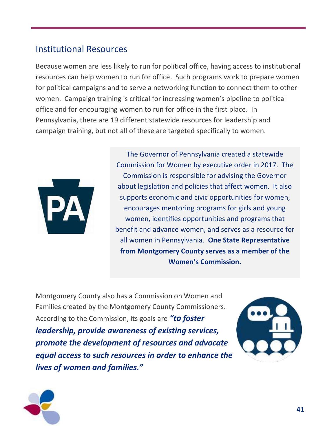### Institutional Resources

Because women are less likely to run for political office, having access to institutional resources can help women to run for office. Such programs work to prepare women for political campaigns and to serve a networking function to connect them to other women. Campaign training is critical for increasing women's pipeline to political office and for encouraging women to run for office in the first place. In Pennsylvania, there are 19 different statewide resources for leadership and campaign training, but not all of these are targeted specifically to women.



The Governor of Pennsylvania created a statewide Commission for Women by executive order in 2017. The Commission is responsible for advising the Governor about legislation and policies that affect women. It also supports economic and civic opportunities for women, encourages mentoring programs for girls and young women, identifies opportunities and programs that benefit and advance women, and serves as a resource for all women in Pennsylvania. **One State Representative from Montgomery County serves as a member of the Women's Commission.**

Montgomery County also has a Commission on Women and Families created by the Montgomery County Commissioners. According to the Commission, its goals are *"to foster leadership, provide awareness of existing services, promote the development of resources and advocate equal access to such resources in order to enhance the lives of women and families."*



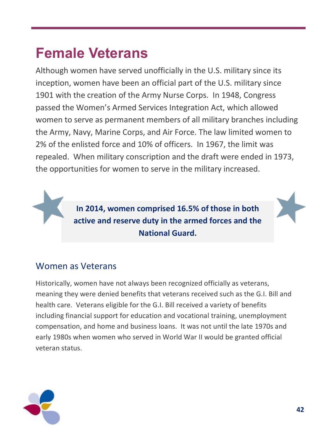## **Female Veterans**

Although women have served unofficially in the U.S. military since its inception, women have been an official part of the U.S. military since 1901 with the creation of the Army Nurse Corps. In 1948, Congress passed the Women's Armed Services Integration Act, which allowed women to serve as permanent members of all military branches including the Army, Navy, Marine Corps, and Air Force. The law limited women to 2% of the enlisted force and 10% of officers. In 1967, the limit was repealed. When military conscription and the draft were ended in 1973, the opportunities for women to serve in the military increased.

> **In 2014, women comprised 16.5% of those in both active and reserve duty in the armed forces and the National Guard.**

### Women as Veterans

Historically, women have not always been recognized officially as veterans, meaning they were denied benefits that veterans received such as the G.I. Bill and health care. Veterans eligible for the G.I. Bill received a variety of benefits including financial support for education and vocational training, unemployment compensation, and home and business loans. It was not until the late 1970s and early 1980s when women who served in World War II would be granted official veteran status.

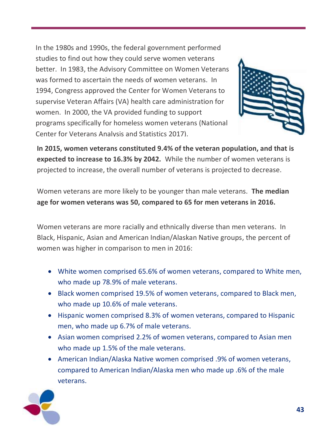In the 1980s and 1990s, the federal government performed studies to find out how they could serve women veterans better. In 1983, the Advisory Committee on Women Veterans was formed to ascertain the needs of women veterans. In 1994, Congress approved the Center for Women Veterans to supervise Veteran Affairs (VA) health care administration for women. In 2000, the VA provided funding to support programs specifically for homeless women veterans (National Center for Veterans Analysis and Statistics 2017).



**In 2015, women veterans constituted 9.4% of the veteran population, and that is expected to increase to 16.3% by 2042.** While the number of women veterans is projected to increase, the overall number of veterans is projected to decrease.

Women veterans are more likely to be younger than male veterans. **The median age for women veterans was 50, compared to 65 for men veterans in 2016.**

Women veterans are more racially and ethnically diverse than men veterans. In Black, Hispanic, Asian and American Indian/Alaskan Native groups, the percent of women was higher in comparison to men in 2016:

- White women comprised 65.6% of women veterans, compared to White men, who made up 78.9% of male veterans.
- Black women comprised 19.5% of women veterans, compared to Black men, who made up 10.6% of male veterans.
- Hispanic women comprised 8.3% of women veterans, compared to Hispanic men, who made up 6.7% of male veterans.
- Asian women comprised 2.2% of women veterans, compared to Asian men who made up 1.5% of the male veterans.
- American Indian/Alaska Native women comprised .9% of women veterans, compared to American Indian/Alaska men who made up .6% of the male veterans.

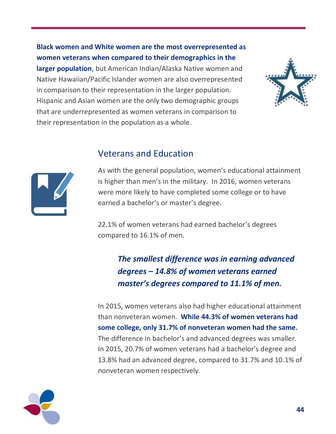**Black women and White women are the most overrepresented as women veterans when compared to their demographics in the larger population**, but American Indian/Alaska Native women and Native Hawaiian/Pacific Islander women are also overrepresented in comparison to their representation in the larger population. Hispanic and Asian women are the only two demographic groups that are underrepresented as women veterans in comparison to their representation in the population as a whole.





#### Veterans and Education

As with the general population, women's educational attainment is higher than men's in the military. In 2016, women veterans were more likely to have completed some college or to have earned a bachelor's or master's degree.

22.1% of women veterans had earned bachelor's degrees compared to 16.1% of men.

## *The smallest difference was in earning advanced degrees – 14.8% of women veterans earned master's degrees compared to 11.1% of men.*

In 2015, women veterans also had higher educational attainment than nonveteran women. **While 44.3% of women veterans had some college, only 31.7% of nonveteran women had the same.** The difference in bachelor's and advanced degrees was smaller. In 2015, 20.7% of women veterans had a bachelor's degree and 13.8% had an advanced degree, compared to 31.7% and 10.1% of nonveteran women respectively.

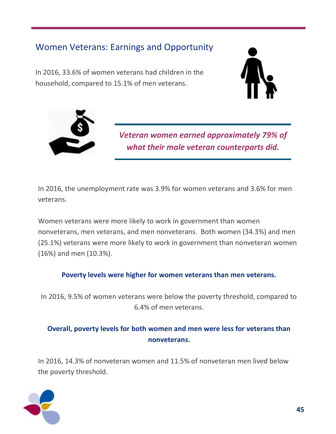## Women Veterans: Earnings and Opportunity

In 2016, 33.6% of women veterans had children in the household, compared to 15.1% of men veterans.





*Veteran women earned approximately 79% of what their male veteran counterparts did.*

In 2016, the unemployment rate was 3.9% for women veterans and 3.6% for men veterans.

Women veterans were more likely to work in government than women nonveterans, men veterans, and men nonveterans. Both women (34.3%) and men (25.1%) veterans were more likely to work in government than nonveteran women (16%) and men (10.3%).

#### **Poverty levels were higher for women veterans than men veterans.**

In 2016, 9.5% of women veterans were below the poverty threshold, compared to 6.4% of men veterans.

#### **Overall, poverty levels for both women and men were less for veterans than nonveterans.**

In 2016, 14.3% of nonveteran women and 11.5% of nonveteran men lived below the poverty threshold.

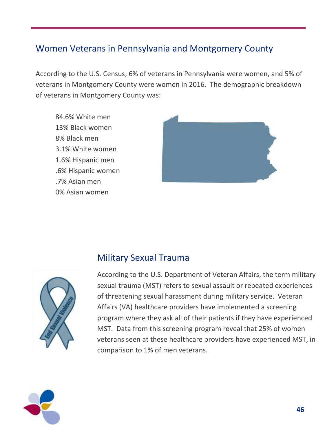### Women Veterans in Pennsylvania and Montgomery County

According to the U.S. Census, 6% of veterans in Pennsylvania were women, and 5% of veterans in Montgomery County were women in 2016. The demographic breakdown of veterans in Montgomery County was:

84.6% White men 13% Black women 8% Black men 3.1% White women 1.6% Hispanic men .6% Hispanic women .7% Asian men 0% Asian women





#### Military Sexual Trauma

According to the U.S. Department of Veteran Affairs, the term military sexual trauma (MST) refers to sexual assault or repeated experiences of threatening sexual harassment during military service. Veteran Affairs (VA) healthcare providers have implemented a screening program where they ask all of their patients if they have experienced MST. Data from this screening program reveal that 25% of women veterans seen at these healthcare providers have experienced MST, in comparison to 1% of men veterans.

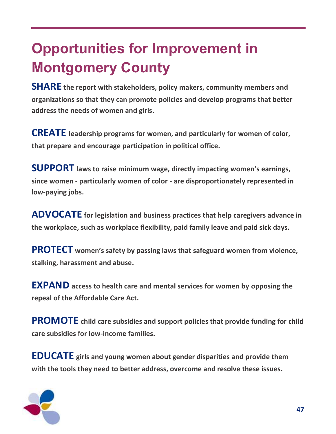# **Opportunities for Improvement in Montgomery County**

**SHARE the report with stakeholders, policy makers, community members and organizations so that they can promote policies and develop programs that better address the needs of women and girls.**

**CREATE leadership programs for women, and particularly for women of color, that prepare and encourage participation in political office.**

**SUPPORT laws to raise minimum wage, directly impacting women's earnings, since women - particularly women of color - are disproportionately represented in low-paying jobs.**

**ADVOCATE for legislation and business practices that help caregivers advance in the workplace, such as workplace flexibility, paid family leave and paid sick days.**

**PROTECT women's safety by passing laws that safeguard women from violence, stalking, harassment and abuse.**

**EXPAND access to health care and mental services for women by opposing the repeal of the Affordable Care Act.**

**PROMOTE child care subsidies and support policies that provide funding for child care subsidies for low-income families.** 

**EDUCATE girls and young women about gender disparities and provide them with the tools they need to better address, overcome and resolve these issues.**